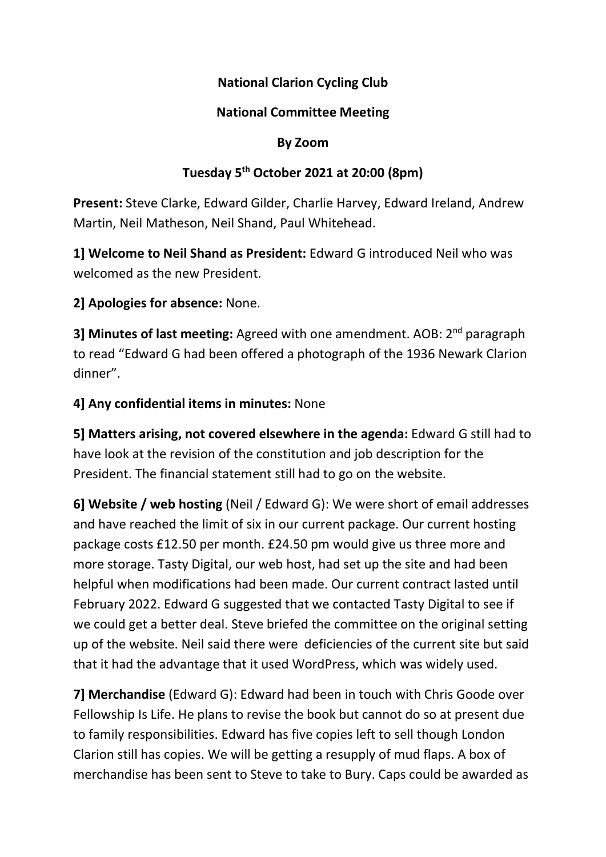### National Clarion Cycling Club

#### National Committee Meeting

#### By Zoom

#### Tuesday 5th October 2021 at 20:00 (8pm)

Present: Steve Clarke, Edward Gilder, Charlie Harvey, Edward Ireland, Andrew Martin, Neil Matheson, Neil Shand, Paul Whitehead.

1] Welcome to Neil Shand as President: Edward G introduced Neil who was welcomed as the new President.

2] Apologies for absence: None.

3] Minutes of last meeting: Agreed with one amendment. AOB: 2<sup>nd</sup> paragraph to read "Edward G had been offered a photograph of the 1936 Newark Clarion dinner".

#### 4] Any confidential items in minutes: None

5] Matters arising, not covered elsewhere in the agenda: Edward G still had to have look at the revision of the constitution and job description for the President. The financial statement still had to go on the website.

6] Website / web hosting (Neil / Edward G): We were short of email addresses and have reached the limit of six in our current package. Our current hosting package costs £12.50 per month. £24.50 pm would give us three more and more storage. Tasty Digital, our web host, had set up the site and had been helpful when modifications had been made. Our current contract lasted until February 2022. Edward G suggested that we contacted Tasty Digital to see if we could get a better deal. Steve briefed the committee on the original setting up of the website. Neil said there were deficiencies of the current site but said that it had the advantage that it used WordPress, which was widely used.

7] Merchandise (Edward G): Edward had been in touch with Chris Goode over Fellowship Is Life. He plans to revise the book but cannot do so at present due to family responsibilities. Edward has five copies left to sell though London Clarion still has copies. We will be getting a resupply of mud flaps. A box of merchandise has been sent to Steve to take to Bury. Caps could be awarded as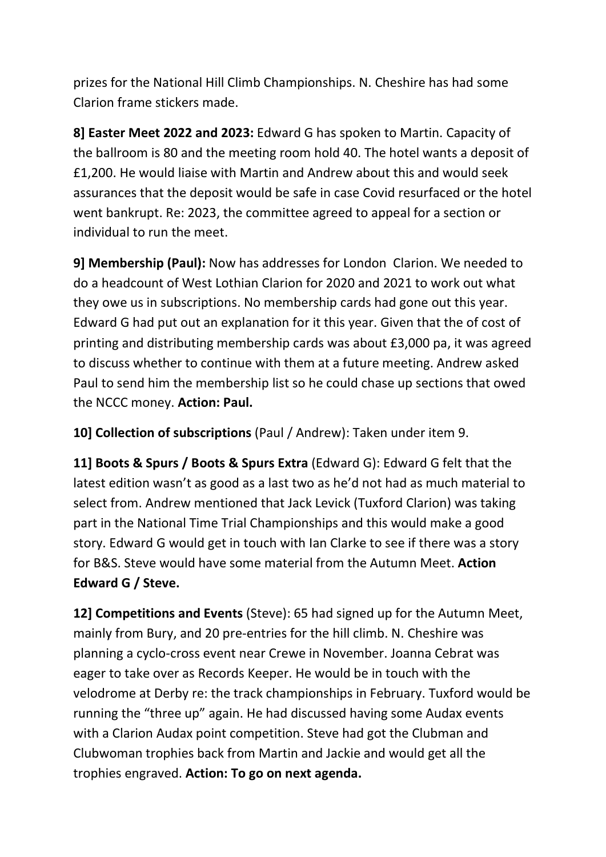prizes for the National Hill Climb Championships. N. Cheshire has had some Clarion frame stickers made.

8] Easter Meet 2022 and 2023: Edward G has spoken to Martin. Capacity of the ballroom is 80 and the meeting room hold 40. The hotel wants a deposit of £1,200. He would liaise with Martin and Andrew about this and would seek assurances that the deposit would be safe in case Covid resurfaced or the hotel went bankrupt. Re: 2023, the committee agreed to appeal for a section or individual to run the meet.

9] Membership (Paul): Now has addresses for London Clarion. We needed to do a headcount of West Lothian Clarion for 2020 and 2021 to work out what they owe us in subscriptions. No membership cards had gone out this year. Edward G had put out an explanation for it this year. Given that the of cost of printing and distributing membership cards was about £3,000 pa, it was agreed to discuss whether to continue with them at a future meeting. Andrew asked Paul to send him the membership list so he could chase up sections that owed the NCCC money. Action: Paul.

10] Collection of subscriptions (Paul / Andrew): Taken under item 9.

11] Boots & Spurs / Boots & Spurs Extra (Edward G): Edward G felt that the latest edition wasn't as good as a last two as he'd not had as much material to select from. Andrew mentioned that Jack Levick (Tuxford Clarion) was taking part in the National Time Trial Championships and this would make a good story. Edward G would get in touch with Ian Clarke to see if there was a story for B&S. Steve would have some material from the Autumn Meet. Action Edward G / Steve.

12] Competitions and Events (Steve): 65 had signed up for the Autumn Meet, mainly from Bury, and 20 pre-entries for the hill climb. N. Cheshire was planning a cyclo-cross event near Crewe in November. Joanna Cebrat was eager to take over as Records Keeper. He would be in touch with the velodrome at Derby re: the track championships in February. Tuxford would be running the "three up" again. He had discussed having some Audax events with a Clarion Audax point competition. Steve had got the Clubman and Clubwoman trophies back from Martin and Jackie and would get all the trophies engraved. Action: To go on next agenda.